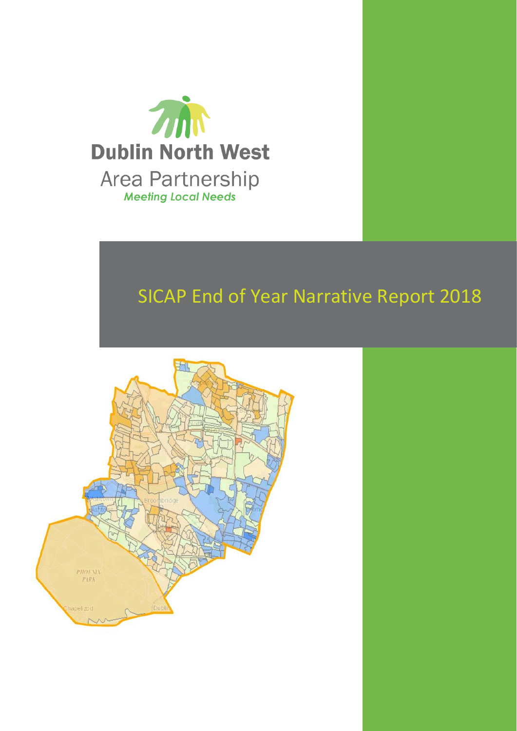

# SICAP End of Year Narrative Report 2018

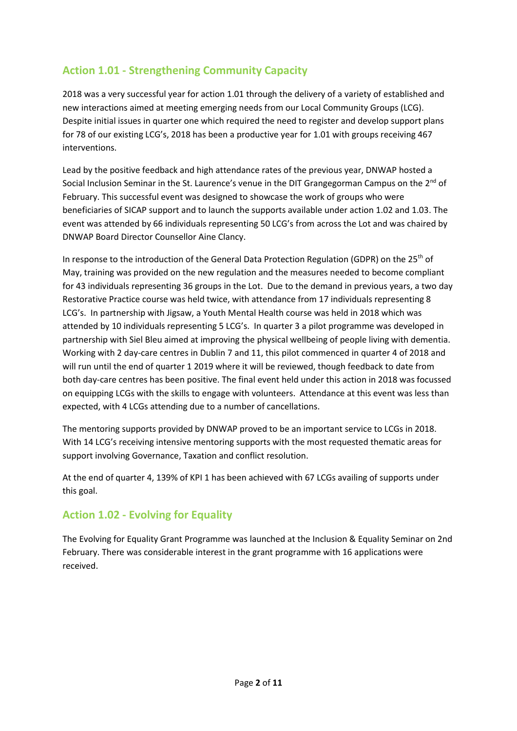# **Action 1.01 - Strengthening Community Capacity**

2018 was a very successful year for action 1.01 through the delivery of a variety of established and new interactions aimed at meeting emerging needs from our Local Community Groups (LCG). Despite initial issues in quarter one which required the need to register and develop support plans for 78 of our existing LCG's, 2018 has been a productive year for 1.01 with groups receiving 467 interventions.

Lead by the positive feedback and high attendance rates of the previous year, DNWAP hosted a Social Inclusion Seminar in the St. Laurence's venue in the DIT Grangegorman Campus on the 2<sup>nd</sup> of February. This successful event was designed to showcase the work of groups who were beneficiaries of SICAP support and to launch the supports available under action 1.02 and 1.03. The event was attended by 66 individuals representing 50 LCG's from across the Lot and was chaired by DNWAP Board Director Counsellor Aine Clancy.

In response to the introduction of the General Data Protection Regulation (GDPR) on the 25<sup>th</sup> of May, training was provided on the new regulation and the measures needed to become compliant for 43 individuals representing 36 groups in the Lot. Due to the demand in previous years, a two day Restorative Practice course was held twice, with attendance from 17 individuals representing 8 LCG's. In partnership with Jigsaw, a Youth Mental Health course was held in 2018 which was attended by 10 individuals representing 5 LCG's. In quarter 3 a pilot programme was developed in partnership with Siel Bleu aimed at improving the physical wellbeing of people living with dementia. Working with 2 day-care centres in Dublin 7 and 11, this pilot commenced in quarter 4 of 2018 and will run until the end of quarter 1 2019 where it will be reviewed, though feedback to date from both day-care centres has been positive. The final event held under this action in 2018 was focussed on equipping LCGs with the skills to engage with volunteers. Attendance at this event was less than expected, with 4 LCGs attending due to a number of cancellations.

The mentoring supports provided by DNWAP proved to be an important service to LCGs in 2018. With 14 LCG's receiving intensive mentoring supports with the most requested thematic areas for support involving Governance, Taxation and conflict resolution.

At the end of quarter 4, 139% of KPI 1 has been achieved with 67 LCGs availing of supports under this goal.

### **Action 1.02 - Evolving for Equality**

The Evolving for Equality Grant Programme was launched at the Inclusion & Equality Seminar on 2nd February. There was considerable interest in the grant programme with 16 applications were received.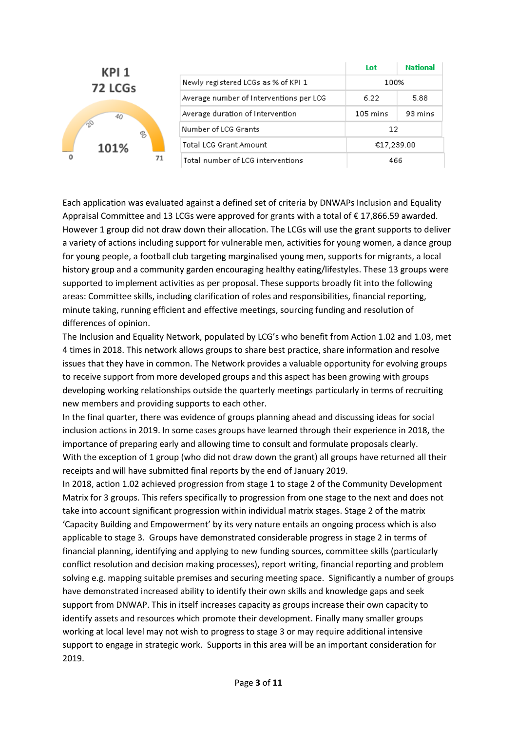|  | KPI 1                      |    |                                         | Lot                | <b>National</b> |
|--|----------------------------|----|-----------------------------------------|--------------------|-----------------|
|  | 72 LCGs<br>40<br>S<br>101% |    | Newly registered LCGs as % of KPI 1     | 100%               |                 |
|  |                            |    | Average number of Interventions per LCG | 6.22               | 5.88            |
|  |                            |    | Average duration of Intervention        | $105 \text{ mins}$ | 93 mins         |
|  |                            |    | Number of LCG Grants                    | 12                 |                 |
|  |                            |    | <b>Total LCG Grant Amount</b>           | €17,239.00         |                 |
|  |                            | 71 | Total number of LCG interventions       | 466                |                 |

Each application was evaluated against a defined set of criteria by DNWAPs Inclusion and Equality Appraisal Committee and 13 LCGs were approved for grants with a total of  $\epsilon$  17,866.59 awarded. However 1 group did not draw down their allocation. The LCGs will use the grant supports to deliver a variety of actions including support for vulnerable men, activities for young women, a dance group for young people, a football club targeting marginalised young men, supports for migrants, a local history group and a community garden encouraging healthy eating/lifestyles. These 13 groups were supported to implement activities as per proposal. These supports broadly fit into the following areas: Committee skills, including clarification of roles and responsibilities, financial reporting, minute taking, running efficient and effective meetings, sourcing funding and resolution of differences of opinion.

The Inclusion and Equality Network, populated by LCG's who benefit from Action 1.02 and 1.03, met 4 times in 2018. This network allows groups to share best practice, share information and resolve issues that they have in common. The Network provides a valuable opportunity for evolving groups to receive support from more developed groups and this aspect has been growing with groups developing working relationships outside the quarterly meetings particularly in terms of recruiting new members and providing supports to each other.

In the final quarter, there was evidence of groups planning ahead and discussing ideas for social inclusion actions in 2019. In some cases groups have learned through their experience in 2018, the importance of preparing early and allowing time to consult and formulate proposals clearly. With the exception of 1 group (who did not draw down the grant) all groups have returned all their receipts and will have submitted final reports by the end of January 2019.

In 2018, action 1.02 achieved progression from stage 1 to stage 2 of the Community Development Matrix for 3 groups. This refers specifically to progression from one stage to the next and does not take into account significant progression within individual matrix stages. Stage 2 of the matrix 'Capacity Building and Empowerment' by its very nature entails an ongoing process which is also applicable to stage 3. Groups have demonstrated considerable progress in stage 2 in terms of financial planning, identifying and applying to new funding sources, committee skills (particularly conflict resolution and decision making processes), report writing, financial reporting and problem solving e.g. mapping suitable premises and securing meeting space. Significantly a number of groups have demonstrated increased ability to identify their own skills and knowledge gaps and seek support from DNWAP. This in itself increases capacity as groups increase their own capacity to identify assets and resources which promote their development. Finally many smaller groups working at local level may not wish to progress to stage 3 or may require additional intensive support to engage in strategic work. Supports in this area will be an important consideration for 2019.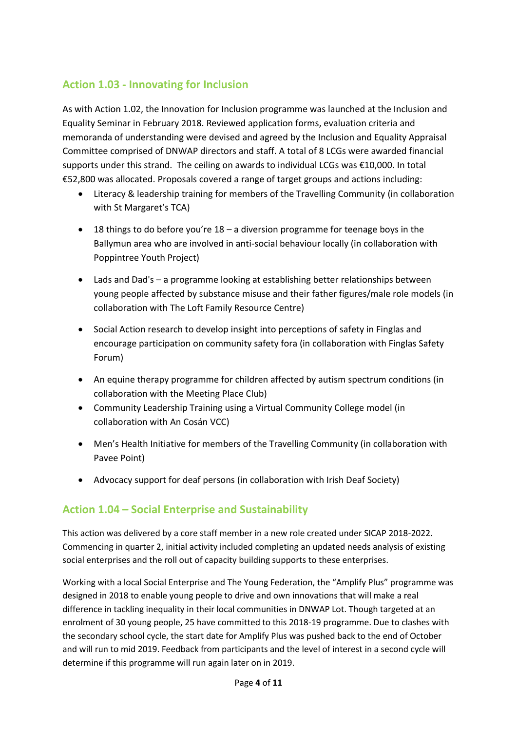# **Action 1.03 - Innovating for Inclusion**

As with Action 1.02, the Innovation for Inclusion programme was launched at the Inclusion and Equality Seminar in February 2018. Reviewed application forms, evaluation criteria and memoranda of understanding were devised and agreed by the Inclusion and Equality Appraisal Committee comprised of DNWAP directors and staff. A total of 8 LCGs were awarded financial supports under this strand. The ceiling on awards to individual LCGs was €10,000. In total €52,800 was allocated. Proposals covered a range of target groups and actions including:

- Literacy & leadership training for members of the Travelling Community (in collaboration with St Margaret's TCA)
- 18 things to do before you're 18 a diversion programme for teenage boys in the Ballymun area who are involved in anti-social behaviour locally (in collaboration with Poppintree Youth Project)
- Lads and Dad's a programme looking at establishing better relationships between young people affected by substance misuse and their father figures/male role models (in collaboration with The Loft Family Resource Centre)
- Social Action research to develop insight into perceptions of safety in Finglas and encourage participation on community safety fora (in collaboration with Finglas Safety Forum)
- An equine therapy programme for children affected by autism spectrum conditions (in collaboration with the Meeting Place Club)
- Community Leadership Training using a Virtual Community College model (in collaboration with An Cosán VCC)
- Men's Health Initiative for members of the Travelling Community (in collaboration with Pavee Point)
- Advocacy support for deaf persons (in collaboration with Irish Deaf Society)

### **Action 1.04 – Social Enterprise and Sustainability**

This action was delivered by a core staff member in a new role created under SICAP 2018-2022. Commencing in quarter 2, initial activity included completing an updated needs analysis of existing social enterprises and the roll out of capacity building supports to these enterprises.

Working with a local Social Enterprise and The Young Federation, the "Amplify Plus" programme was designed in 2018 to enable young people to drive and own innovations that will make a real difference in tackling inequality in their local communities in DNWAP Lot. Though targeted at an enrolment of 30 young people, 25 have committed to this 2018-19 programme. Due to clashes with the secondary school cycle, the start date for Amplify Plus was pushed back to the end of October and will run to mid 2019. Feedback from participants and the level of interest in a second cycle will determine if this programme will run again later on in 2019.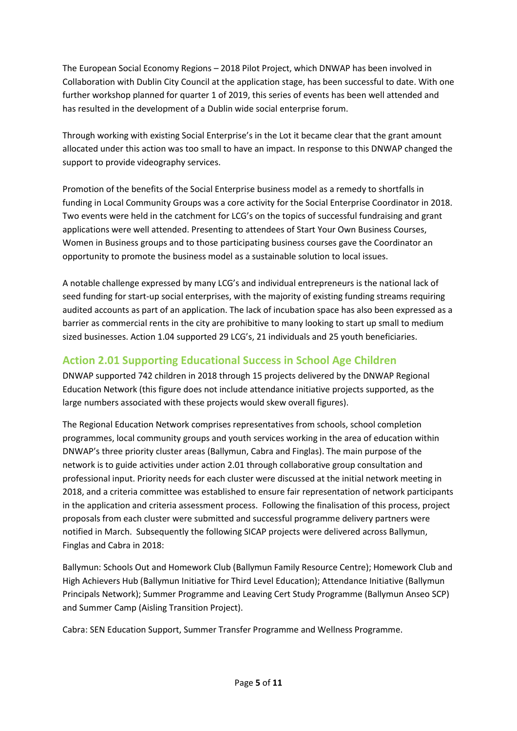The European Social Economy Regions – 2018 Pilot Project, which DNWAP has been involved in Collaboration with Dublin City Council at the application stage, has been successful to date. With one further workshop planned for quarter 1 of 2019, this series of events has been well attended and has resulted in the development of a Dublin wide social enterprise forum.

Through working with existing Social Enterprise's in the Lot it became clear that the grant amount allocated under this action was too small to have an impact. In response to this DNWAP changed the support to provide videography services.

Promotion of the benefits of the Social Enterprise business model as a remedy to shortfalls in funding in Local Community Groups was a core activity for the Social Enterprise Coordinator in 2018. Two events were held in the catchment for LCG's on the topics of successful fundraising and grant applications were well attended. Presenting to attendees of Start Your Own Business Courses, Women in Business groups and to those participating business courses gave the Coordinator an opportunity to promote the business model as a sustainable solution to local issues.

A notable challenge expressed by many LCG's and individual entrepreneurs is the national lack of seed funding for start-up social enterprises, with the majority of existing funding streams requiring audited accounts as part of an application. The lack of incubation space has also been expressed as a barrier as commercial rents in the city are prohibitive to many looking to start up small to medium sized businesses. Action 1.04 supported 29 LCG's, 21 individuals and 25 youth beneficiaries.

# **Action 2.01 Supporting Educational Success in School Age Children**

DNWAP supported 742 children in 2018 through 15 projects delivered by the DNWAP Regional Education Network (this figure does not include attendance initiative projects supported, as the large numbers associated with these projects would skew overall figures).

The Regional Education Network comprises representatives from schools, school completion programmes, local community groups and youth services working in the area of education within DNWAP's three priority cluster areas (Ballymun, Cabra and Finglas). The main purpose of the network is to guide activities under action 2.01 through collaborative group consultation and professional input. Priority needs for each cluster were discussed at the initial network meeting in 2018, and a criteria committee was established to ensure fair representation of network participants in the application and criteria assessment process. Following the finalisation of this process, project proposals from each cluster were submitted and successful programme delivery partners were notified in March. Subsequently the following SICAP projects were delivered across Ballymun, Finglas and Cabra in 2018:

Ballymun: Schools Out and Homework Club (Ballymun Family Resource Centre); Homework Club and High Achievers Hub (Ballymun Initiative for Third Level Education); Attendance Initiative (Ballymun Principals Network); Summer Programme and Leaving Cert Study Programme (Ballymun Anseo SCP) and Summer Camp (Aisling Transition Project).

Cabra: SEN Education Support, Summer Transfer Programme and Wellness Programme.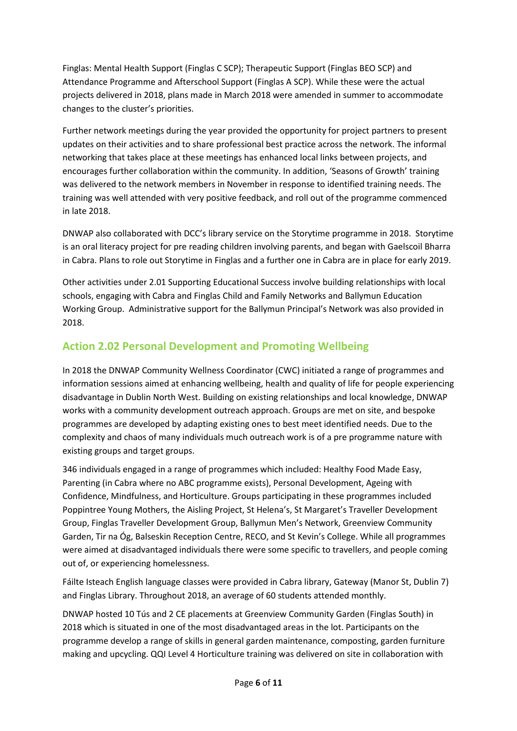Finglas: Mental Health Support (Finglas C SCP); Therapeutic Support (Finglas BEO SCP) and Attendance Programme and Afterschool Support (Finglas A SCP). While these were the actual projects delivered in 2018, plans made in March 2018 were amended in summer to accommodate changes to the cluster's priorities.

Further network meetings during the year provided the opportunity for project partners to present updates on their activities and to share professional best practice across the network. The informal networking that takes place at these meetings has enhanced local links between projects, and encourages further collaboration within the community. In addition, 'Seasons of Growth' training was delivered to the network members in November in response to identified training needs. The training was well attended with very positive feedback, and roll out of the programme commenced in late 2018.

DNWAP also collaborated with DCC's library service on the Storytime programme in 2018. Storytime is an oral literacy project for pre reading children involving parents, and began with Gaelscoil Bharra in Cabra. Plans to role out Storytime in Finglas and a further one in Cabra are in place for early 2019.

Other activities under 2.01 Supporting Educational Success involve building relationships with local schools, engaging with Cabra and Finglas Child and Family Networks and Ballymun Education Working Group. Administrative support for the Ballymun Principal's Network was also provided in 2018.

# **Action 2.02 Personal Development and Promoting Wellbeing**

In 2018 the DNWAP Community Wellness Coordinator (CWC) initiated a range of programmes and information sessions aimed at enhancing wellbeing, health and quality of life for people experiencing disadvantage in Dublin North West. Building on existing relationships and local knowledge, DNWAP works with a community development outreach approach. Groups are met on site, and bespoke programmes are developed by adapting existing ones to best meet identified needs. Due to the complexity and chaos of many individuals much outreach work is of a pre programme nature with existing groups and target groups.

346 individuals engaged in a range of programmes which included: Healthy Food Made Easy, Parenting (in Cabra where no ABC programme exists), Personal Development, Ageing with Confidence, Mindfulness, and Horticulture. Groups participating in these programmes included Poppintree Young Mothers, the Aisling Project, St Helena's, St Margaret's Traveller Development Group, Finglas Traveller Development Group, Ballymun Men's Network, Greenview Community Garden, Tir na Óg, Balseskin Reception Centre, RECO, and St Kevin's College. While all programmes were aimed at disadvantaged individuals there were some specific to travellers, and people coming out of, or experiencing homelessness.

Fáilte Isteach English language classes were provided in Cabra library, Gateway (Manor St, Dublin 7) and Finglas Library. Throughout 2018, an average of 60 students attended monthly.

DNWAP hosted 10 Tús and 2 CE placements at Greenview Community Garden (Finglas South) in 2018 which is situated in one of the most disadvantaged areas in the lot. Participants on the programme develop a range of skills in general garden maintenance, composting, garden furniture making and upcycling. QQI Level 4 Horticulture training was delivered on site in collaboration with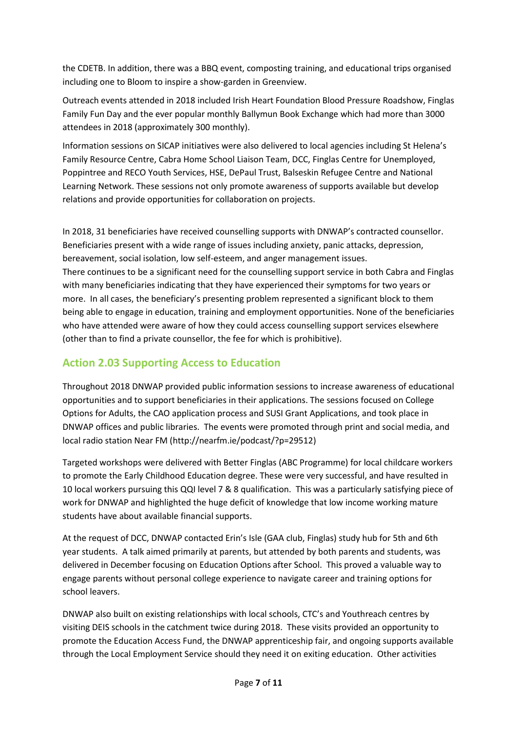the CDETB. In addition, there was a BBQ event, composting training, and educational trips organised including one to Bloom to inspire a show-garden in Greenview.

Outreach events attended in 2018 included Irish Heart Foundation Blood Pressure Roadshow, Finglas Family Fun Day and the ever popular monthly Ballymun Book Exchange which had more than 3000 attendees in 2018 (approximately 300 monthly).

Information sessions on SICAP initiatives were also delivered to local agencies including St Helena's Family Resource Centre, Cabra Home School Liaison Team, DCC, Finglas Centre for Unemployed, Poppintree and RECO Youth Services, HSE, DePaul Trust, Balseskin Refugee Centre and National Learning Network. These sessions not only promote awareness of supports available but develop relations and provide opportunities for collaboration on projects.

In 2018, 31 beneficiaries have received counselling supports with DNWAP's contracted counsellor. Beneficiaries present with a wide range of issues including anxiety, panic attacks, depression, bereavement, social isolation, low self-esteem, and anger management issues. There continues to be a significant need for the counselling support service in both Cabra and Finglas with many beneficiaries indicating that they have experienced their symptoms for two years or more. In all cases, the beneficiary's presenting problem represented a significant block to them being able to engage in education, training and employment opportunities. None of the beneficiaries who have attended were aware of how they could access counselling support services elsewhere (other than to find a private counsellor, the fee for which is prohibitive).

# **Action 2.03 Supporting Access to Education**

Throughout 2018 DNWAP provided public information sessions to increase awareness of educational opportunities and to support beneficiaries in their applications. The sessions focused on College Options for Adults, the CAO application process and SUSI Grant Applications, and took place in DNWAP offices and public libraries. The events were promoted through print and social media, and local radio station Near FM [\(http://nearfm.ie/podcast/?p=29512\)](http://nearfm.ie/podcast/?p=29512)

Targeted workshops were delivered with Better Finglas (ABC Programme) for local childcare workers to promote the Early Childhood Education degree. These were very successful, and have resulted in 10 local workers pursuing this QQI level 7 & 8 qualification. This was a particularly satisfying piece of work for DNWAP and highlighted the huge deficit of knowledge that low income working mature students have about available financial supports.

At the request of DCC, DNWAP contacted Erin's Isle (GAA club, Finglas) study hub for 5th and 6th year students. A talk aimed primarily at parents, but attended by both parents and students, was delivered in December focusing on Education Options after School. This proved a valuable way to engage parents without personal college experience to navigate career and training options for school leavers.

DNWAP also built on existing relationships with local schools, CTC's and Youthreach centres by visiting DEIS schools in the catchment twice during 2018. These visits provided an opportunity to promote the Education Access Fund, the DNWAP apprenticeship fair, and ongoing supports available through the Local Employment Service should they need it on exiting education. Other activities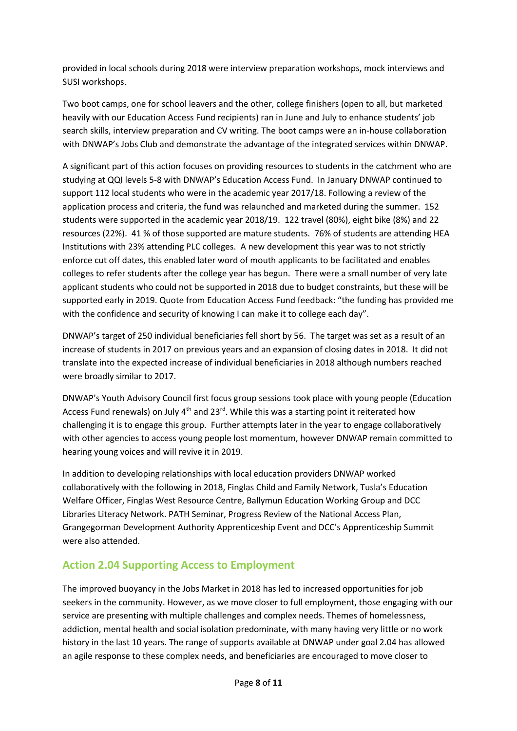provided in local schools during 2018 were interview preparation workshops, mock interviews and SUSI workshops.

Two boot camps, one for school leavers and the other, college finishers (open to all, but marketed heavily with our Education Access Fund recipients) ran in June and July to enhance students' job search skills, interview preparation and CV writing. The boot camps were an in-house collaboration with DNWAP's Jobs Club and demonstrate the advantage of the integrated services within DNWAP.

A significant part of this action focuses on providing resources to students in the catchment who are studying at QQI levels 5-8 with DNWAP's Education Access Fund. In January DNWAP continued to support 112 local students who were in the academic year 2017/18. Following a review of the application process and criteria, the fund was relaunched and marketed during the summer. 152 students were supported in the academic year 2018/19. 122 travel (80%), eight bike (8%) and 22 resources (22%). 41 % of those supported are mature students. 76% of students are attending HEA Institutions with 23% attending PLC colleges. A new development this year was to not strictly enforce cut off dates, this enabled later word of mouth applicants to be facilitated and enables colleges to refer students after the college year has begun. There were a small number of very late applicant students who could not be supported in 2018 due to budget constraints, but these will be supported early in 2019. Quote from Education Access Fund feedback: "the funding has provided me with the confidence and security of knowing I can make it to college each day".

DNWAP's target of 250 individual beneficiaries fell short by 56. The target was set as a result of an increase of students in 2017 on previous years and an expansion of closing dates in 2018. It did not translate into the expected increase of individual beneficiaries in 2018 although numbers reached were broadly similar to 2017.

DNWAP's Youth Advisory Council first focus group sessions took place with young people (Education Access Fund renewals) on July  $4<sup>th</sup>$  and 23<sup>rd</sup>. While this was a starting point it reiterated how challenging it is to engage this group. Further attempts later in the year to engage collaboratively with other agencies to access young people lost momentum, however DNWAP remain committed to hearing young voices and will revive it in 2019.

In addition to developing relationships with local education providers DNWAP worked collaboratively with the following in 2018, Finglas Child and Family Network, Tusla's Education Welfare Officer, Finglas West Resource Centre, Ballymun Education Working Group and DCC Libraries Literacy Network. PATH Seminar, Progress Review of the National Access Plan, Grangegorman Development Authority Apprenticeship Event and DCC's Apprenticeship Summit were also attended.

### **Action 2.04 Supporting Access to Employment**

The improved buoyancy in the Jobs Market in 2018 has led to increased opportunities for job seekers in the community. However, as we move closer to full employment, those engaging with our service are presenting with multiple challenges and complex needs. Themes of homelessness, addiction, mental health and social isolation predominate, with many having very little or no work history in the last 10 years. The range of supports available at DNWAP under goal 2.04 has allowed an agile response to these complex needs, and beneficiaries are encouraged to move closer to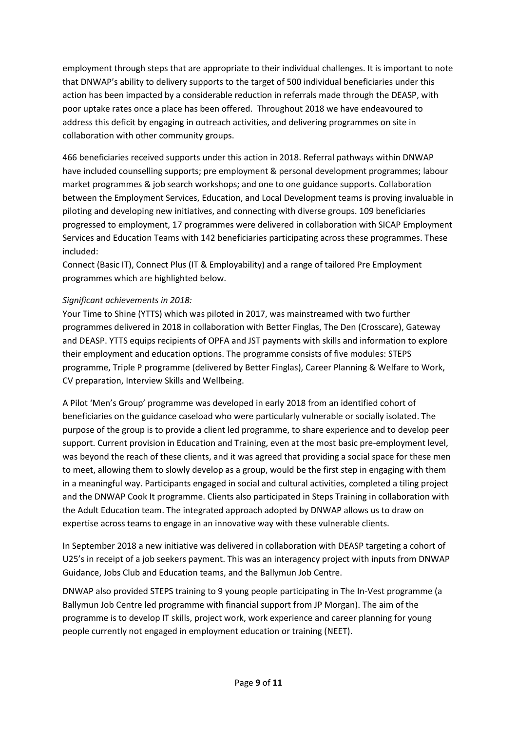employment through steps that are appropriate to their individual challenges. It is important to note that DNWAP's ability to delivery supports to the target of 500 individual beneficiaries under this action has been impacted by a considerable reduction in referrals made through the DEASP, with poor uptake rates once a place has been offered. Throughout 2018 we have endeavoured to address this deficit by engaging in outreach activities, and delivering programmes on site in collaboration with other community groups.

466 beneficiaries received supports under this action in 2018. Referral pathways within DNWAP have included counselling supports; pre employment & personal development programmes; labour market programmes & job search workshops; and one to one guidance supports. Collaboration between the Employment Services, Education, and Local Development teams is proving invaluable in piloting and developing new initiatives, and connecting with diverse groups. 109 beneficiaries progressed to employment, 17 programmes were delivered in collaboration with SICAP Employment Services and Education Teams with 142 beneficiaries participating across these programmes. These included:

Connect (Basic IT), Connect Plus (IT & Employability) and a range of tailored Pre Employment programmes which are highlighted below.

#### *Significant achievements in 2018:*

Your Time to Shine (YTTS) which was piloted in 2017, was mainstreamed with two further programmes delivered in 2018 in collaboration with Better Finglas, The Den (Crosscare), Gateway and DEASP. YTTS equips recipients of OPFA and JST payments with skills and information to explore their employment and education options. The programme consists of five modules: STEPS programme, Triple P programme (delivered by Better Finglas), Career Planning & Welfare to Work, CV preparation, Interview Skills and Wellbeing.

A Pilot 'Men's Group' programme was developed in early 2018 from an identified cohort of beneficiaries on the guidance caseload who were particularly vulnerable or socially isolated. The purpose of the group is to provide a client led programme, to share experience and to develop peer support. Current provision in Education and Training, even at the most basic pre-employment level, was beyond the reach of these clients, and it was agreed that providing a social space for these men to meet, allowing them to slowly develop as a group, would be the first step in engaging with them in a meaningful way. Participants engaged in social and cultural activities, completed a tiling project and the DNWAP Cook It programme. Clients also participated in Steps Training in collaboration with the Adult Education team. The integrated approach adopted by DNWAP allows us to draw on expertise across teams to engage in an innovative way with these vulnerable clients.

In September 2018 a new initiative was delivered in collaboration with DEASP targeting a cohort of U25's in receipt of a job seekers payment. This was an interagency project with inputs from DNWAP Guidance, Jobs Club and Education teams, and the Ballymun Job Centre.

DNWAP also provided STEPS training to 9 young people participating in The In-Vest programme (a Ballymun Job Centre led programme with financial support from JP Morgan). The aim of the programme is to develop IT skills, project work, work experience and career planning for young people currently not engaged in employment education or training (NEET).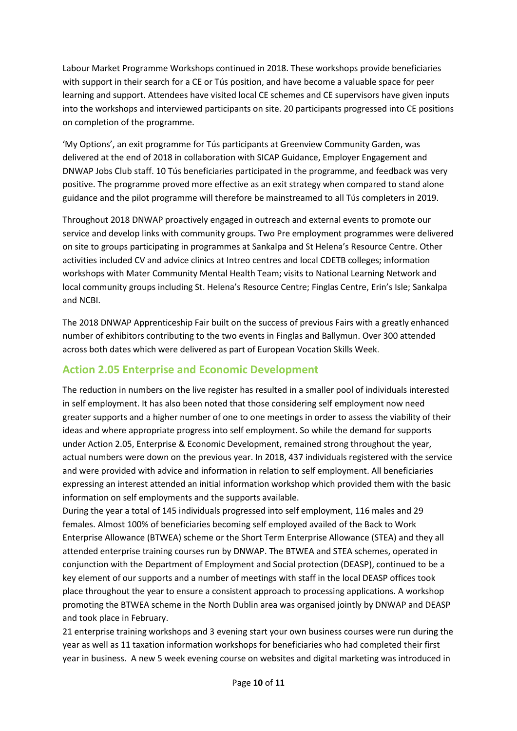Labour Market Programme Workshops continued in 2018. These workshops provide beneficiaries with support in their search for a CE or Tús position, and have become a valuable space for peer learning and support. Attendees have visited local CE schemes and CE supervisors have given inputs into the workshops and interviewed participants on site. 20 participants progressed into CE positions on completion of the programme.

'My Options', an exit programme for Tús participants at Greenview Community Garden, was delivered at the end of 2018 in collaboration with SICAP Guidance, Employer Engagement and DNWAP Jobs Club staff. 10 Tús beneficiaries participated in the programme, and feedback was very positive. The programme proved more effective as an exit strategy when compared to stand alone guidance and the pilot programme will therefore be mainstreamed to all Tús completers in 2019.

Throughout 2018 DNWAP proactively engaged in outreach and external events to promote our service and develop links with community groups. Two Pre employment programmes were delivered on site to groups participating in programmes at Sankalpa and St Helena's Resource Centre. Other activities included CV and advice clinics at Intreo centres and local CDETB colleges; information workshops with Mater Community Mental Health Team; visits to National Learning Network and local community groups including St. Helena's Resource Centre; Finglas Centre, Erin's Isle; Sankalpa and NCBI.

The 2018 DNWAP Apprenticeship Fair built on the success of previous Fairs with a greatly enhanced number of exhibitors contributing to the two events in Finglas and Ballymun. Over 300 attended across both dates which were delivered as part of European Vocation Skills Week.

# **Action 2.05 Enterprise and Economic Development**

The reduction in numbers on the live register has resulted in a smaller pool of individuals interested in self employment. It has also been noted that those considering self employment now need greater supports and a higher number of one to one meetings in order to assess the viability of their ideas and where appropriate progress into self employment. So while the demand for supports under Action 2.05, Enterprise & Economic Development, remained strong throughout the year, actual numbers were down on the previous year. In 2018, 437 individuals registered with the service and were provided with advice and information in relation to self employment. All beneficiaries expressing an interest attended an initial information workshop which provided them with the basic information on self employments and the supports available.

During the year a total of 145 individuals progressed into self employment, 116 males and 29 females. Almost 100% of beneficiaries becoming self employed availed of the Back to Work Enterprise Allowance (BTWEA) scheme or the Short Term Enterprise Allowance (STEA) and they all attended enterprise training courses run by DNWAP. The BTWEA and STEA schemes, operated in conjunction with the Department of Employment and Social protection (DEASP), continued to be a key element of our supports and a number of meetings with staff in the local DEASP offices took place throughout the year to ensure a consistent approach to processing applications. A workshop promoting the BTWEA scheme in the North Dublin area was organised jointly by DNWAP and DEASP and took place in February.

21 enterprise training workshops and 3 evening start your own business courses were run during the year as well as 11 taxation information workshops for beneficiaries who had completed their first year in business. A new 5 week evening course on websites and digital marketing was introduced in